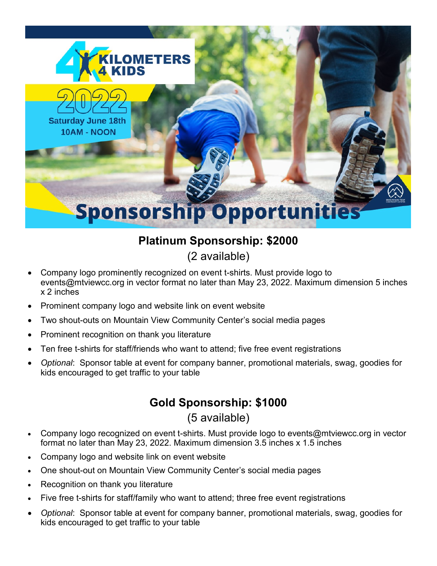

# **Platinum Sponsorship: \$2000**

(2 available)

- Company logo prominently recognized on event t-shirts. Must provide logo to events@mtviewcc.org in vector format no later than May 23, 2022. Maximum dimension 5 inches x 2 inches
- Prominent company logo and website link on event website
- Two shout-outs on Mountain View Community Center's social media pages
- Prominent recognition on thank you literature
- Ten free t-shirts for staff/friends who want to attend; five free event registrations
- *Optional*: Sponsor table at event for company banner, promotional materials, swag, goodies for kids encouraged to get traffic to your table

## **Gold Sponsorship: \$1000**

(5 available)

- Company logo recognized on event t-shirts. Must provide logo to events@mtviewcc.org in vector format no later than May 23, 2022. Maximum dimension 3.5 inches x 1.5 inches
- Company logo and website link on event website
- One shout-out on Mountain View Community Center's social media pages
- Recognition on thank you literature
- Five free t-shirts for staff/family who want to attend; three free event registrations
- *Optional*: Sponsor table at event for company banner, promotional materials, swag, goodies for kids encouraged to get traffic to your table